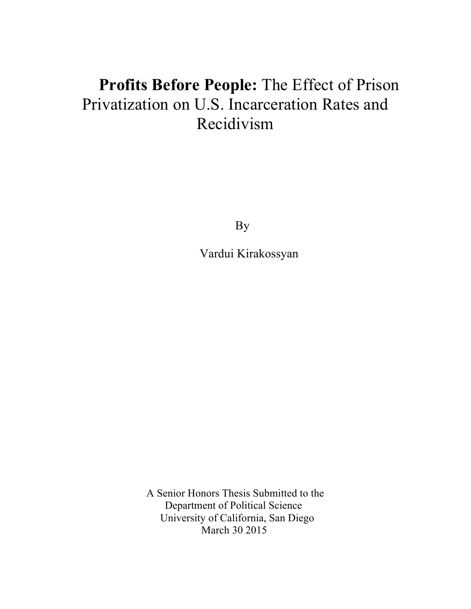# **Profits Before People:** The Effect of Prison Privatization on U.S. Incarceration Rates and Recidivism

By

Vardui Kirakossyan

A Senior Honors Thesis Submitted to the Department of Political Science University of California, San Diego March 30 2015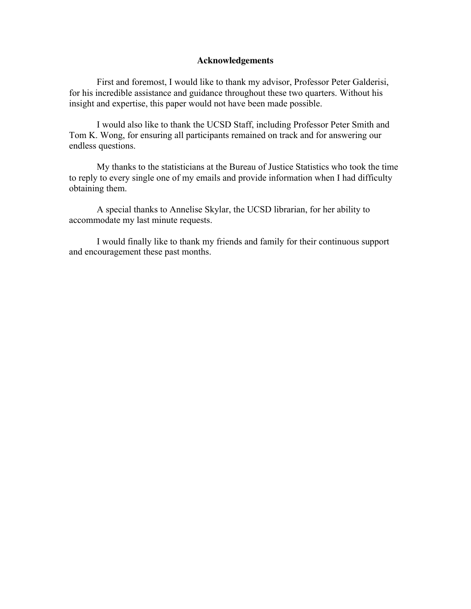#### **Acknowledgements**

First and foremost, I would like to thank my advisor, Professor Peter Galderisi, for his incredible assistance and guidance throughout these two quarters. Without his insight and expertise, this paper would not have been made possible.

I would also like to thank the UCSD Staff, including Professor Peter Smith and Tom K. Wong, for ensuring all participants remained on track and for answering our endless questions.

My thanks to the statisticians at the Bureau of Justice Statistics who took the time to reply to every single one of my emails and provide information when I had difficulty obtaining them.

A special thanks to Annelise Skylar, the UCSD librarian, for her ability to accommodate my last minute requests.

I would finally like to thank my friends and family for their continuous support and encouragement these past months.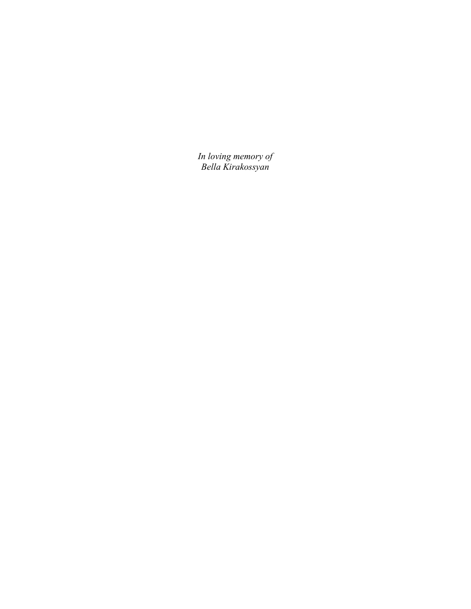*In loving memory of Bella Kirakossyan*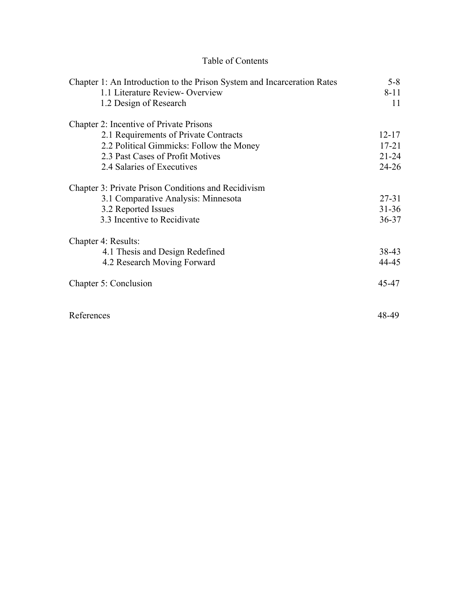## Table of Contents

| Chapter 1: An Introduction to the Prison System and Incarceration Rates | $5 - 8$   |
|-------------------------------------------------------------------------|-----------|
| 1.1 Literature Review-Overview                                          | $8 - 11$  |
| 1.2 Design of Research                                                  | 11        |
| Chapter 2: Incentive of Private Prisons                                 |           |
| 2.1 Requirements of Private Contracts                                   | $12 - 17$ |
| 2.2 Political Gimmicks: Follow the Money                                | $17 - 21$ |
| 2.3 Past Cases of Profit Motives                                        | $21 - 24$ |
| 2.4 Salaries of Executives                                              | $24 - 26$ |
| Chapter 3: Private Prison Conditions and Recidivism                     |           |
| 3.1 Comparative Analysis: Minnesota                                     | $27 - 31$ |
| 3.2 Reported Issues                                                     | $31 - 36$ |
| 3.3 Incentive to Recidivate                                             | $36 - 37$ |
| Chapter 4: Results:                                                     |           |
| 4.1 Thesis and Design Redefined                                         | 38-43     |
| 4.2 Research Moving Forward                                             | 44-45     |
| Chapter 5: Conclusion                                                   | 45-47     |
| References                                                              | 48-49     |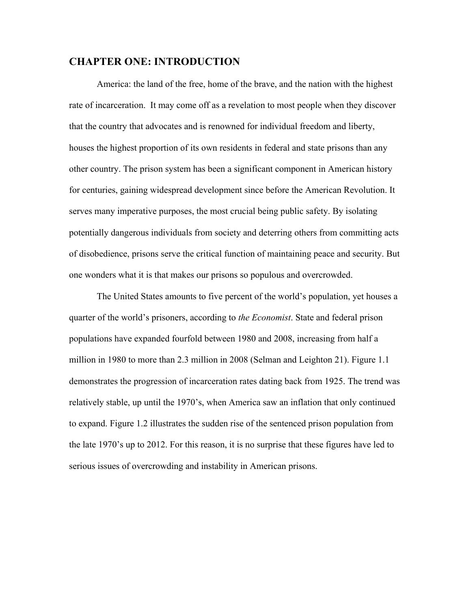#### **CHAPTER ONE: INTRODUCTION**

America: the land of the free, home of the brave, and the nation with the highest rate of incarceration. It may come off as a revelation to most people when they discover that the country that advocates and is renowned for individual freedom and liberty, houses the highest proportion of its own residents in federal and state prisons than any other country. The prison system has been a significant component in American history for centuries, gaining widespread development since before the American Revolution. It serves many imperative purposes, the most crucial being public safety. By isolating potentially dangerous individuals from society and deterring others from committing acts of disobedience, prisons serve the critical function of maintaining peace and security. But one wonders what it is that makes our prisons so populous and overcrowded.

The United States amounts to five percent of the world's population, yet houses a quarter of the world's prisoners, according to *the Economist*. State and federal prison populations have expanded fourfold between 1980 and 2008, increasing from half a million in 1980 to more than 2.3 million in 2008 (Selman and Leighton 21). Figure 1.1 demonstrates the progression of incarceration rates dating back from 1925. The trend was relatively stable, up until the 1970's, when America saw an inflation that only continued to expand. Figure 1.2 illustrates the sudden rise of the sentenced prison population from the late 1970's up to 2012. For this reason, it is no surprise that these figures have led to serious issues of overcrowding and instability in American prisons.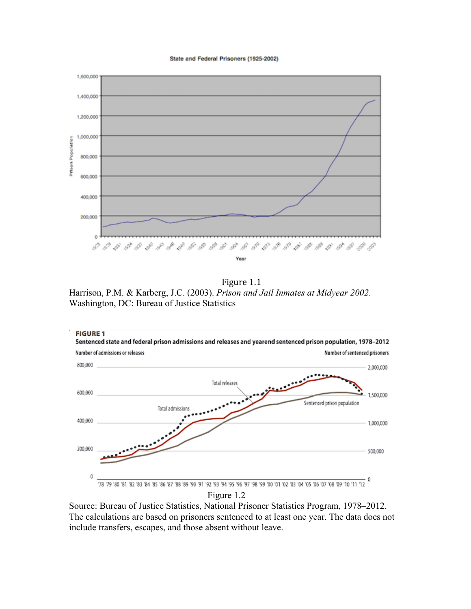#### State and Federal Prisoners (1925-2002)



Figure 1.1 Harrison, P.M. & Karberg, J.C. (2003). *Prison and Jail Inmates at Midyear 2002*. Washington, DC: Bureau of Justice Statistics



Source: Bureau of Justice Statistics, National Prisoner Statistics Program, 1978–2012. The calculations are based on prisoners sentenced to at least one year. The data does not include transfers, escapes, and those absent without leave.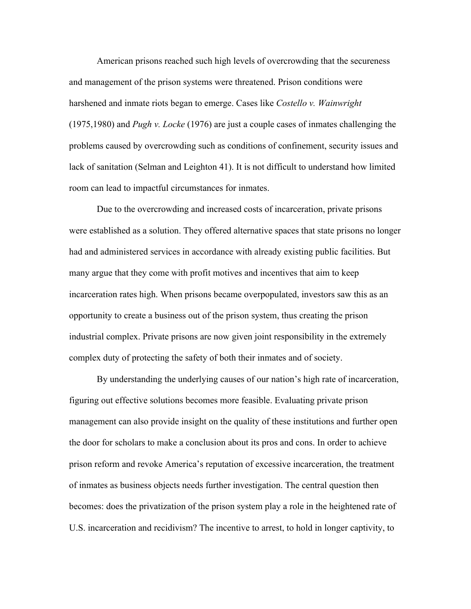American prisons reached such high levels of overcrowding that the secureness and management of the prison systems were threatened. Prison conditions were harshened and inmate riots began to emerge. Cases like *Costello v. Wainwright* (1975,1980) and *Pugh v. Locke* (1976) are just a couple cases of inmates challenging the problems caused by overcrowding such as conditions of confinement, security issues and lack of sanitation (Selman and Leighton 41). It is not difficult to understand how limited room can lead to impactful circumstances for inmates.

Due to the overcrowding and increased costs of incarceration, private prisons were established as a solution. They offered alternative spaces that state prisons no longer had and administered services in accordance with already existing public facilities. But many argue that they come with profit motives and incentives that aim to keep incarceration rates high. When prisons became overpopulated, investors saw this as an opportunity to create a business out of the prison system, thus creating the prison industrial complex. Private prisons are now given joint responsibility in the extremely complex duty of protecting the safety of both their inmates and of society.

By understanding the underlying causes of our nation's high rate of incarceration, figuring out effective solutions becomes more feasible. Evaluating private prison management can also provide insight on the quality of these institutions and further open the door for scholars to make a conclusion about its pros and cons. In order to achieve prison reform and revoke America's reputation of excessive incarceration, the treatment of inmates as business objects needs further investigation. The central question then becomes: does the privatization of the prison system play a role in the heightened rate of U.S. incarceration and recidivism? The incentive to arrest, to hold in longer captivity, to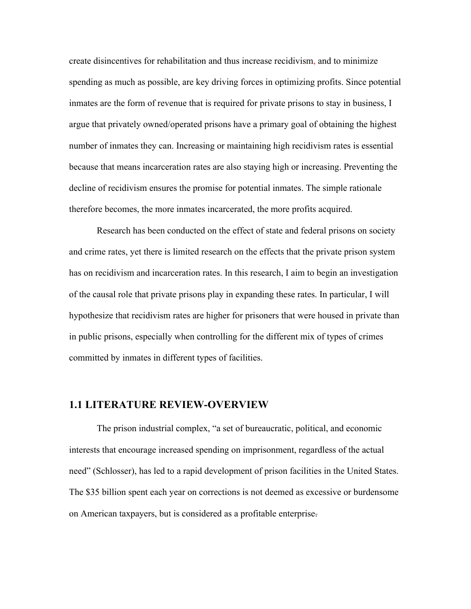create disincentives for rehabilitation and thus increase recidivism, and to minimize spending as much as possible, are key driving forces in optimizing profits. Since potential inmates are the form of revenue that is required for private prisons to stay in business, I argue that privately owned/operated prisons have a primary goal of obtaining the highest number of inmates they can. Increasing or maintaining high recidivism rates is essential because that means incarceration rates are also staying high or increasing. Preventing the decline of recidivism ensures the promise for potential inmates. The simple rationale therefore becomes, the more inmates incarcerated, the more profits acquired.

Research has been conducted on the effect of state and federal prisons on society and crime rates, yet there is limited research on the effects that the private prison system has on recidivism and incarceration rates. In this research, I aim to begin an investigation of the causal role that private prisons play in expanding these rates. In particular, I will hypothesize that recidivism rates are higher for prisoners that were housed in private than in public prisons, especially when controlling for the different mix of types of crimes committed by inmates in different types of facilities.

#### **1.1 LITERATURE REVIEW-OVERVIEW**

The prison industrial complex, "a set of bureaucratic, political, and economic interests that encourage increased spending on imprisonment, regardless of the actual need" (Schlosser), has led to a rapid development of prison facilities in the United States. The \$35 billion spent each year on corrections is not deemed as excessive or burdensome on American taxpayers, but is considered as a profitable enterprise.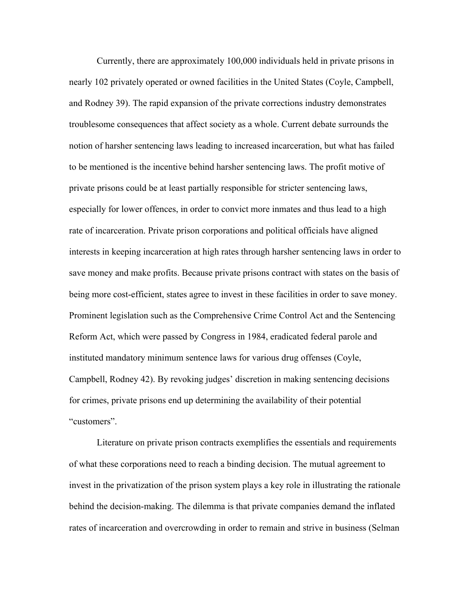Currently, there are approximately 100,000 individuals held in private prisons in nearly 102 privately operated or owned facilities in the United States (Coyle, Campbell, and Rodney 39). The rapid expansion of the private corrections industry demonstrates troublesome consequences that affect society as a whole. Current debate surrounds the notion of harsher sentencing laws leading to increased incarceration, but what has failed to be mentioned is the incentive behind harsher sentencing laws. The profit motive of private prisons could be at least partially responsible for stricter sentencing laws, especially for lower offences, in order to convict more inmates and thus lead to a high rate of incarceration. Private prison corporations and political officials have aligned interests in keeping incarceration at high rates through harsher sentencing laws in order to save money and make profits. Because private prisons contract with states on the basis of being more cost-efficient, states agree to invest in these facilities in order to save money. Prominent legislation such as the Comprehensive Crime Control Act and the Sentencing Reform Act, which were passed by Congress in 1984, eradicated federal parole and instituted mandatory minimum sentence laws for various drug offenses (Coyle, Campbell, Rodney 42). By revoking judges' discretion in making sentencing decisions for crimes, private prisons end up determining the availability of their potential "customers".

Literature on private prison contracts exemplifies the essentials and requirements of what these corporations need to reach a binding decision. The mutual agreement to invest in the privatization of the prison system plays a key role in illustrating the rationale behind the decision-making. The dilemma is that private companies demand the inflated rates of incarceration and overcrowding in order to remain and strive in business (Selman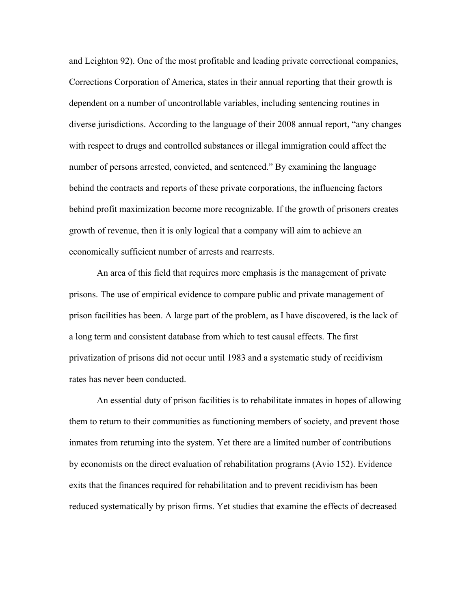and Leighton 92). One of the most profitable and leading private correctional companies, Corrections Corporation of America, states in their annual reporting that their growth is dependent on a number of uncontrollable variables, including sentencing routines in diverse jurisdictions. According to the language of their 2008 annual report, "any changes with respect to drugs and controlled substances or illegal immigration could affect the number of persons arrested, convicted, and sentenced." By examining the language behind the contracts and reports of these private corporations, the influencing factors behind profit maximization become more recognizable. If the growth of prisoners creates growth of revenue, then it is only logical that a company will aim to achieve an economically sufficient number of arrests and rearrests.

An area of this field that requires more emphasis is the management of private prisons. The use of empirical evidence to compare public and private management of prison facilities has been. A large part of the problem, as I have discovered, is the lack of a long term and consistent database from which to test causal effects. The first privatization of prisons did not occur until 1983 and a systematic study of recidivism rates has never been conducted.

An essential duty of prison facilities is to rehabilitate inmates in hopes of allowing them to return to their communities as functioning members of society, and prevent those inmates from returning into the system. Yet there are a limited number of contributions by economists on the direct evaluation of rehabilitation programs (Avio 152). Evidence exits that the finances required for rehabilitation and to prevent recidivism has been reduced systematically by prison firms. Yet studies that examine the effects of decreased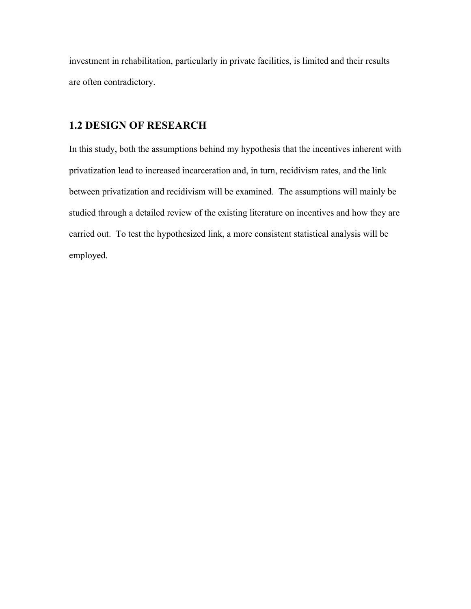investment in rehabilitation, particularly in private facilities, is limited and their results are often contradictory.

## **1.2 DESIGN OF RESEARCH**

In this study, both the assumptions behind my hypothesis that the incentives inherent with privatization lead to increased incarceration and, in turn, recidivism rates, and the link between privatization and recidivism will be examined. The assumptions will mainly be studied through a detailed review of the existing literature on incentives and how they are carried out. To test the hypothesized link, a more consistent statistical analysis will be employed.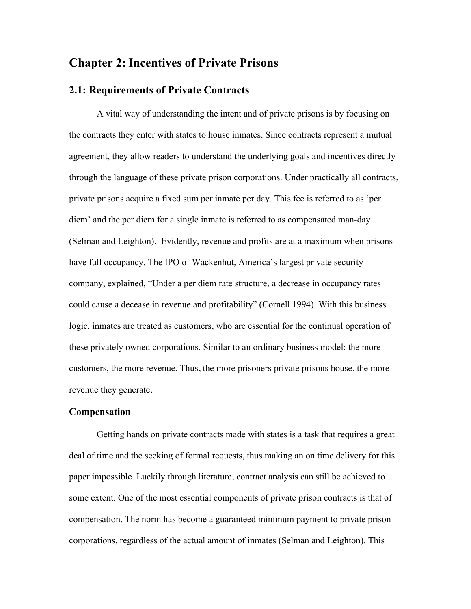## **Chapter 2:Incentives of Private Prisons**

### **2.1: Requirements of Private Contracts**

A vital way of understanding the intent and of private prisons is by focusing on the contracts they enter with states to house inmates. Since contracts represent a mutual agreement, they allow readers to understand the underlying goals and incentives directly through the language of these private prison corporations. Under practically all contracts, private prisons acquire a fixed sum per inmate per day. This fee is referred to as 'per diem' and the per diem for a single inmate is referred to as compensated man-day (Selman and Leighton). Evidently, revenue and profits are at a maximum when prisons have full occupancy. The IPO of Wackenhut, America's largest private security company, explained, "Under a per diem rate structure, a decrease in occupancy rates could cause a decease in revenue and profitability" (Cornell 1994). With this business logic, inmates are treated as customers, who are essential for the continual operation of these privately owned corporations. Similar to an ordinary business model: the more customers, the more revenue. Thus, the more prisoners private prisons house, the more revenue they generate.

#### **Compensation**

Getting hands on private contracts made with states is a task that requires a great deal of time and the seeking of formal requests, thus making an on time delivery for this paper impossible. Luckily through literature, contract analysis can still be achieved to some extent. One of the most essential components of private prison contracts is that of compensation. The norm has become a guaranteed minimum payment to private prison corporations, regardless of the actual amount of inmates (Selman and Leighton). This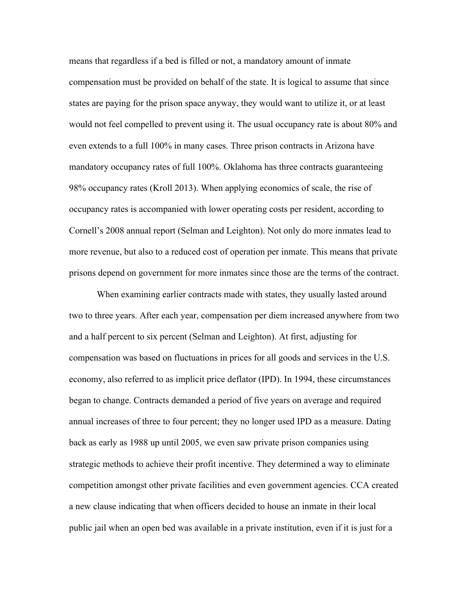means that regardless if a bed is filled or not, a mandatory amount of inmate compensation must be provided on behalf of the state. It is logical to assume that since states are paying for the prison space anyway, they would want to utilize it, or at least would not feel compelled to prevent using it. The usual occupancy rate is about 80% and even extends to a full 100% in many cases. Three prison contracts in Arizona have mandatory occupancy rates of full 100%. Oklahoma has three contracts guaranteeing 98% occupancy rates (Kroll 2013). When applying economics of scale, the rise of occupancy rates is accompanied with lower operating costs per resident, according to Cornell's 2008 annual report (Selman and Leighton). Not only do more inmates lead to more revenue, but also to a reduced cost of operation per inmate. This means that private prisons depend on government for more inmates since those are the terms of the contract.

When examining earlier contracts made with states, they usually lasted around two to three years. After each year, compensation per diem increased anywhere from two and a half percent to six percent (Selman and Leighton). At first, adjusting for compensation was based on fluctuations in prices for all goods and services in the U.S. economy, also referred to as implicit price deflator (IPD). In 1994, these circumstances began to change. Contracts demanded a period of five years on average and required annual increases of three to four percent; they no longer used IPD as a measure. Dating back as early as 1988 up until 2005, we even saw private prison companies using strategic methods to achieve their profit incentive. They determined a way to eliminate competition amongst other private facilities and even government agencies. CCA created a new clause indicating that when officers decided to house an inmate in their local public jail when an open bed was available in a private institution, even if it is just for a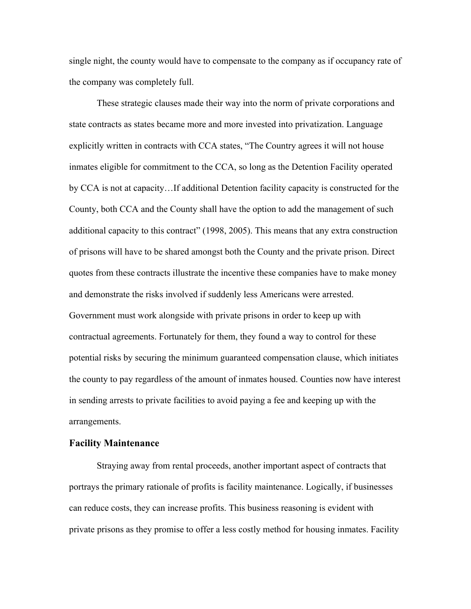single night, the county would have to compensate to the company as if occupancy rate of the company was completely full.

These strategic clauses made their way into the norm of private corporations and state contracts as states became more and more invested into privatization. Language explicitly written in contracts with CCA states, "The Country agrees it will not house inmates eligible for commitment to the CCA, so long as the Detention Facility operated by CCA is not at capacity…If additional Detention facility capacity is constructed for the County, both CCA and the County shall have the option to add the management of such additional capacity to this contract" (1998, 2005). This means that any extra construction of prisons will have to be shared amongst both the County and the private prison. Direct quotes from these contracts illustrate the incentive these companies have to make money and demonstrate the risks involved if suddenly less Americans were arrested. Government must work alongside with private prisons in order to keep up with contractual agreements. Fortunately for them, they found a way to control for these potential risks by securing the minimum guaranteed compensation clause, which initiates the county to pay regardless of the amount of inmates housed. Counties now have interest in sending arrests to private facilities to avoid paying a fee and keeping up with the arrangements.

#### **Facility Maintenance**

Straying away from rental proceeds, another important aspect of contracts that portrays the primary rationale of profits is facility maintenance. Logically, if businesses can reduce costs, they can increase profits. This business reasoning is evident with private prisons as they promise to offer a less costly method for housing inmates. Facility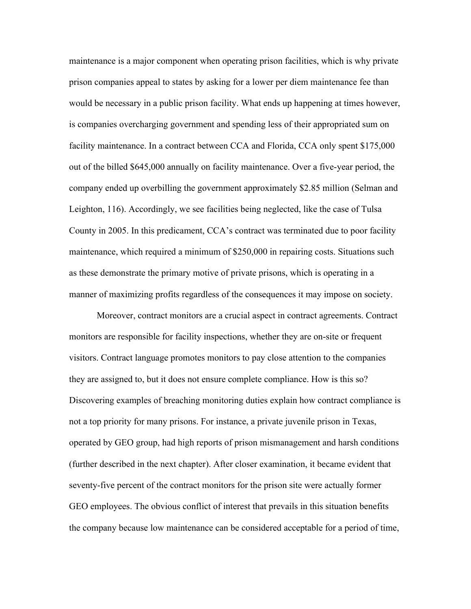maintenance is a major component when operating prison facilities, which is why private prison companies appeal to states by asking for a lower per diem maintenance fee than would be necessary in a public prison facility. What ends up happening at times however, is companies overcharging government and spending less of their appropriated sum on facility maintenance. In a contract between CCA and Florida, CCA only spent \$175,000 out of the billed \$645,000 annually on facility maintenance. Over a five-year period, the company ended up overbilling the government approximately \$2.85 million (Selman and Leighton, 116). Accordingly, we see facilities being neglected, like the case of Tulsa County in 2005. In this predicament, CCA's contract was terminated due to poor facility maintenance, which required a minimum of \$250,000 in repairing costs. Situations such as these demonstrate the primary motive of private prisons, which is operating in a manner of maximizing profits regardless of the consequences it may impose on society.

Moreover, contract monitors are a crucial aspect in contract agreements. Contract monitors are responsible for facility inspections, whether they are on-site or frequent visitors. Contract language promotes monitors to pay close attention to the companies they are assigned to, but it does not ensure complete compliance. How is this so? Discovering examples of breaching monitoring duties explain how contract compliance is not a top priority for many prisons. For instance, a private juvenile prison in Texas, operated by GEO group, had high reports of prison mismanagement and harsh conditions (further described in the next chapter). After closer examination, it became evident that seventy-five percent of the contract monitors for the prison site were actually former GEO employees. The obvious conflict of interest that prevails in this situation benefits the company because low maintenance can be considered acceptable for a period of time,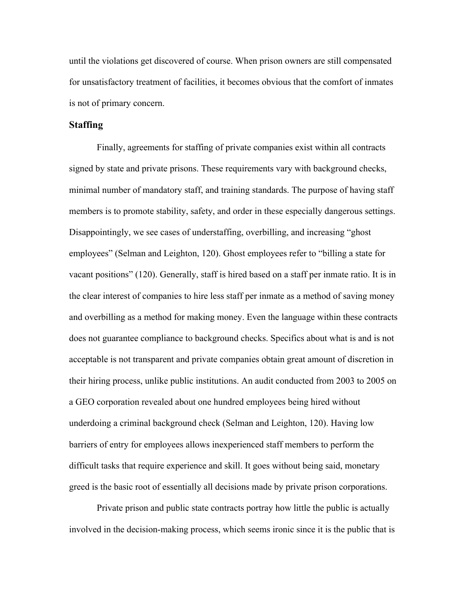until the violations get discovered of course. When prison owners are still compensated for unsatisfactory treatment of facilities, it becomes obvious that the comfort of inmates is not of primary concern.

#### **Staffing**

Finally, agreements for staffing of private companies exist within all contracts signed by state and private prisons. These requirements vary with background checks, minimal number of mandatory staff, and training standards. The purpose of having staff members is to promote stability, safety, and order in these especially dangerous settings. Disappointingly, we see cases of understaffing, overbilling, and increasing "ghost employees" (Selman and Leighton, 120). Ghost employees refer to "billing a state for vacant positions" (120). Generally, staff is hired based on a staff per inmate ratio. It is in the clear interest of companies to hire less staff per inmate as a method of saving money and overbilling as a method for making money. Even the language within these contracts does not guarantee compliance to background checks. Specifics about what is and is not acceptable is not transparent and private companies obtain great amount of discretion in their hiring process, unlike public institutions. An audit conducted from 2003 to 2005 on a GEO corporation revealed about one hundred employees being hired without underdoing a criminal background check (Selman and Leighton, 120). Having low barriers of entry for employees allows inexperienced staff members to perform the difficult tasks that require experience and skill. It goes without being said, monetary greed is the basic root of essentially all decisions made by private prison corporations.

Private prison and public state contracts portray how little the public is actually involved in the decision-making process, which seems ironic since it is the public that is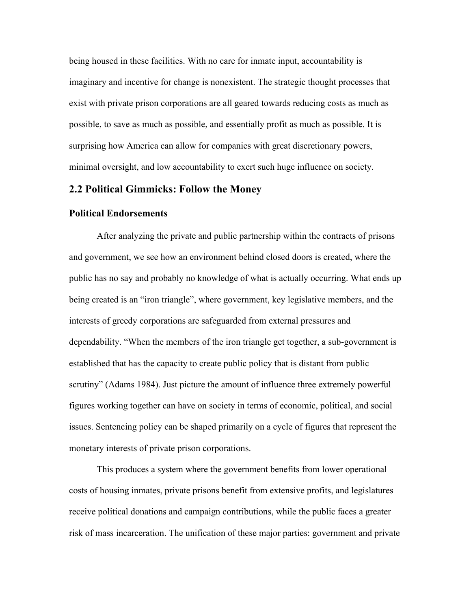being housed in these facilities. With no care for inmate input, accountability is imaginary and incentive for change is nonexistent. The strategic thought processes that exist with private prison corporations are all geared towards reducing costs as much as possible, to save as much as possible, and essentially profit as much as possible. It is surprising how America can allow for companies with great discretionary powers, minimal oversight, and low accountability to exert such huge influence on society.

#### **2.2 Political Gimmicks: Follow the Money**

#### **Political Endorsements**

After analyzing the private and public partnership within the contracts of prisons and government, we see how an environment behind closed doors is created, where the public has no say and probably no knowledge of what is actually occurring. What ends up being created is an "iron triangle", where government, key legislative members, and the interests of greedy corporations are safeguarded from external pressures and dependability. "When the members of the iron triangle get together, a sub-government is established that has the capacity to create public policy that is distant from public scrutiny" (Adams 1984). Just picture the amount of influence three extremely powerful figures working together can have on society in terms of economic, political, and social issues. Sentencing policy can be shaped primarily on a cycle of figures that represent the monetary interests of private prison corporations.

This produces a system where the government benefits from lower operational costs of housing inmates, private prisons benefit from extensive profits, and legislatures receive political donations and campaign contributions, while the public faces a greater risk of mass incarceration. The unification of these major parties: government and private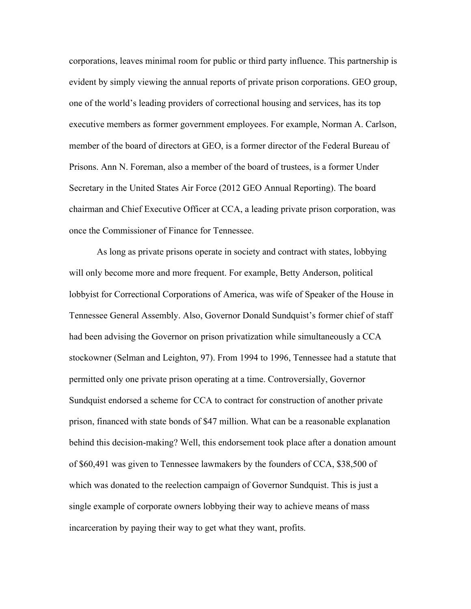corporations, leaves minimal room for public or third party influence. This partnership is evident by simply viewing the annual reports of private prison corporations. GEO group, one of the world's leading providers of correctional housing and services, has its top executive members as former government employees. For example, Norman A. Carlson, member of the board of directors at GEO, is a former director of the Federal Bureau of Prisons. Ann N. Foreman, also a member of the board of trustees, is a former Under Secretary in the United States Air Force (2012 GEO Annual Reporting). The board chairman and Chief Executive Officer at CCA, a leading private prison corporation, was once the Commissioner of Finance for Tennessee.

As long as private prisons operate in society and contract with states, lobbying will only become more and more frequent. For example, Betty Anderson, political lobbyist for Correctional Corporations of America, was wife of Speaker of the House in Tennessee General Assembly. Also, Governor Donald Sundquist's former chief of staff had been advising the Governor on prison privatization while simultaneously a CCA stockowner (Selman and Leighton, 97). From 1994 to 1996, Tennessee had a statute that permitted only one private prison operating at a time. Controversially, Governor Sundquist endorsed a scheme for CCA to contract for construction of another private prison, financed with state bonds of \$47 million. What can be a reasonable explanation behind this decision-making? Well, this endorsement took place after a donation amount of \$60,491 was given to Tennessee lawmakers by the founders of CCA, \$38,500 of which was donated to the reelection campaign of Governor Sundquist. This is just a single example of corporate owners lobbying their way to achieve means of mass incarceration by paying their way to get what they want, profits.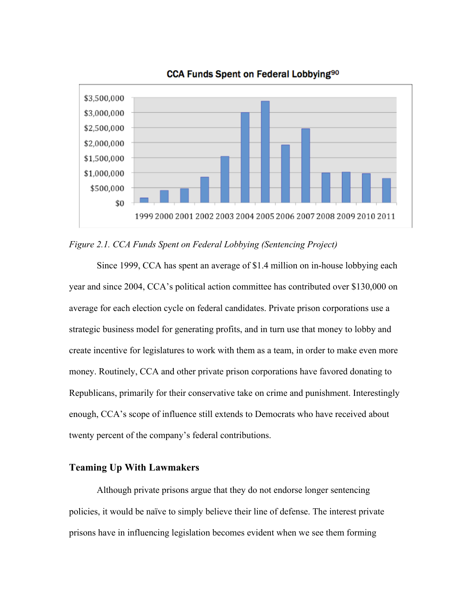

CCA Funds Spent on Federal Lobbying<sup>90</sup>

*Figure 2.1. CCA Funds Spent on Federal Lobbying (Sentencing Project)*

Since 1999, CCA has spent an average of \$1.4 million on in-house lobbying each year and since 2004, CCA's political action committee has contributed over \$130,000 on average for each election cycle on federal candidates. Private prison corporations use a strategic business model for generating profits, and in turn use that money to lobby and create incentive for legislatures to work with them as a team, in order to make even more money. Routinely, CCA and other private prison corporations have favored donating to Republicans, primarily for their conservative take on crime and punishment. Interestingly enough, CCA's scope of influence still extends to Democrats who have received about twenty percent of the company's federal contributions.

#### **Teaming Up With Lawmakers**

Although private prisons argue that they do not endorse longer sentencing policies, it would be naïve to simply believe their line of defense. The interest private prisons have in influencing legislation becomes evident when we see them forming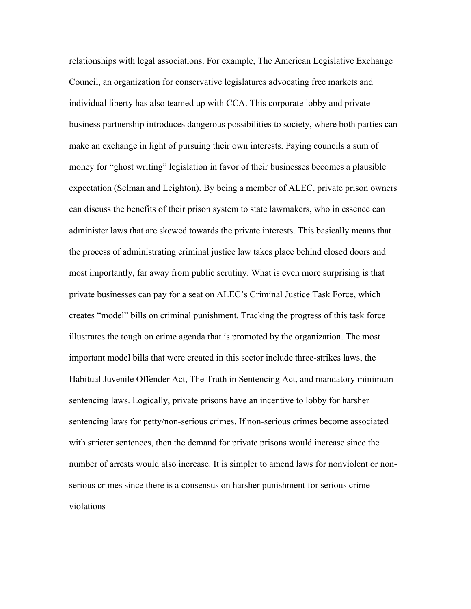relationships with legal associations. For example, The American Legislative Exchange Council, an organization for conservative legislatures advocating free markets and individual liberty has also teamed up with CCA. This corporate lobby and private business partnership introduces dangerous possibilities to society, where both parties can make an exchange in light of pursuing their own interests. Paying councils a sum of money for "ghost writing" legislation in favor of their businesses becomes a plausible expectation (Selman and Leighton). By being a member of ALEC, private prison owners can discuss the benefits of their prison system to state lawmakers, who in essence can administer laws that are skewed towards the private interests. This basically means that the process of administrating criminal justice law takes place behind closed doors and most importantly, far away from public scrutiny. What is even more surprising is that private businesses can pay for a seat on ALEC's Criminal Justice Task Force, which creates "model" bills on criminal punishment. Tracking the progress of this task force illustrates the tough on crime agenda that is promoted by the organization. The most important model bills that were created in this sector include three-strikes laws, the Habitual Juvenile Offender Act, The Truth in Sentencing Act, and mandatory minimum sentencing laws. Logically, private prisons have an incentive to lobby for harsher sentencing laws for petty/non-serious crimes. If non-serious crimes become associated with stricter sentences, then the demand for private prisons would increase since the number of arrests would also increase. It is simpler to amend laws for nonviolent or nonserious crimes since there is a consensus on harsher punishment for serious crime violations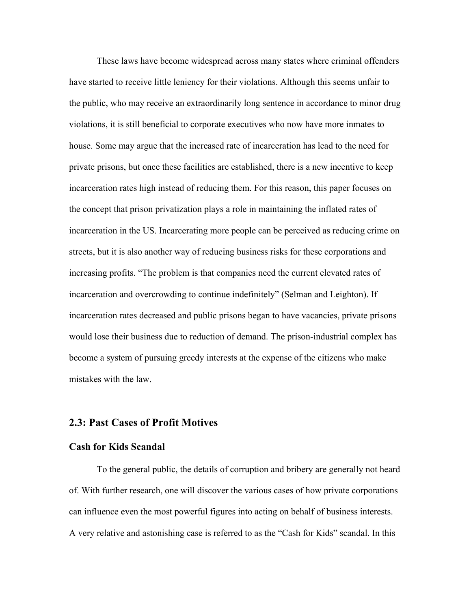These laws have become widespread across many states where criminal offenders have started to receive little leniency for their violations. Although this seems unfair to the public, who may receive an extraordinarily long sentence in accordance to minor drug violations, it is still beneficial to corporate executives who now have more inmates to house. Some may argue that the increased rate of incarceration has lead to the need for private prisons, but once these facilities are established, there is a new incentive to keep incarceration rates high instead of reducing them. For this reason, this paper focuses on the concept that prison privatization plays a role in maintaining the inflated rates of incarceration in the US. Incarcerating more people can be perceived as reducing crime on streets, but it is also another way of reducing business risks for these corporations and increasing profits. "The problem is that companies need the current elevated rates of incarceration and overcrowding to continue indefinitely" (Selman and Leighton). If incarceration rates decreased and public prisons began to have vacancies, private prisons would lose their business due to reduction of demand. The prison-industrial complex has become a system of pursuing greedy interests at the expense of the citizens who make mistakes with the law.

#### **2.3: Past Cases of Profit Motives**

#### **Cash for Kids Scandal**

To the general public, the details of corruption and bribery are generally not heard of. With further research, one will discover the various cases of how private corporations can influence even the most powerful figures into acting on behalf of business interests. A very relative and astonishing case is referred to as the "Cash for Kids" scandal. In this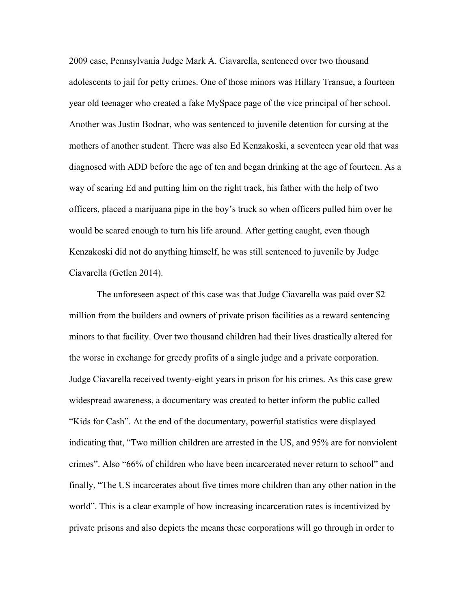2009 case, Pennsylvania Judge Mark A. Ciavarella, sentenced over two thousand adolescents to jail for petty crimes. One of those minors was Hillary Transue, a fourteen year old teenager who created a fake MySpace page of the vice principal of her school. Another was Justin Bodnar, who was sentenced to juvenile detention for cursing at the mothers of another student. There was also Ed Kenzakoski, a seventeen year old that was diagnosed with ADD before the age of ten and began drinking at the age of fourteen. As a way of scaring Ed and putting him on the right track, his father with the help of two officers, placed a marijuana pipe in the boy's truck so when officers pulled him over he would be scared enough to turn his life around. After getting caught, even though Kenzakoski did not do anything himself, he was still sentenced to juvenile by Judge Ciavarella (Getlen 2014).

The unforeseen aspect of this case was that Judge Ciavarella was paid over \$2 million from the builders and owners of private prison facilities as a reward sentencing minors to that facility. Over two thousand children had their lives drastically altered for the worse in exchange for greedy profits of a single judge and a private corporation. Judge Ciavarella received twenty-eight years in prison for his crimes. As this case grew widespread awareness, a documentary was created to better inform the public called "Kids for Cash". At the end of the documentary, powerful statistics were displayed indicating that, "Two million children are arrested in the US, and 95% are for nonviolent crimes". Also "66% of children who have been incarcerated never return to school" and finally, "The US incarcerates about five times more children than any other nation in the world". This is a clear example of how increasing incarceration rates is incentivized by private prisons and also depicts the means these corporations will go through in order to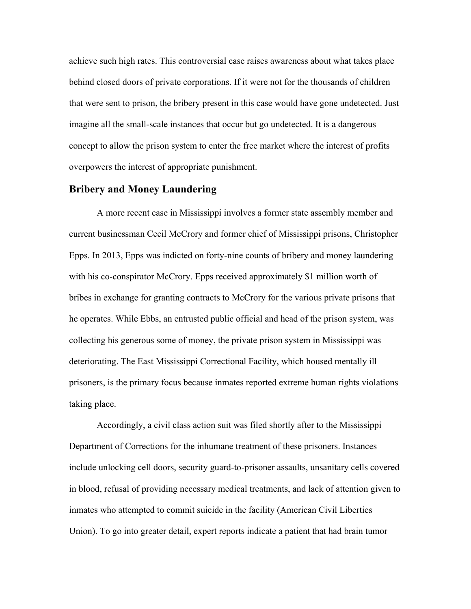achieve such high rates. This controversial case raises awareness about what takes place behind closed doors of private corporations. If it were not for the thousands of children that were sent to prison, the bribery present in this case would have gone undetected. Just imagine all the small-scale instances that occur but go undetected. It is a dangerous concept to allow the prison system to enter the free market where the interest of profits overpowers the interest of appropriate punishment.

#### **Bribery and Money Laundering**

A more recent case in Mississippi involves a former state assembly member and current businessman Cecil McCrory and former chief of Mississippi prisons, Christopher Epps. In 2013, Epps was indicted on forty-nine counts of bribery and money laundering with his co-conspirator McCrory. Epps received approximately \$1 million worth of bribes in exchange for granting contracts to McCrory for the various private prisons that he operates. While Ebbs, an entrusted public official and head of the prison system, was collecting his generous some of money, the private prison system in Mississippi was deteriorating. The East Mississippi Correctional Facility, which housed mentally ill prisoners, is the primary focus because inmates reported extreme human rights violations taking place.

Accordingly, a civil class action suit was filed shortly after to the Mississippi Department of Corrections for the inhumane treatment of these prisoners. Instances include unlocking cell doors, security guard-to-prisoner assaults, unsanitary cells covered in blood, refusal of providing necessary medical treatments, and lack of attention given to inmates who attempted to commit suicide in the facility (American Civil Liberties Union). To go into greater detail, expert reports indicate a patient that had brain tumor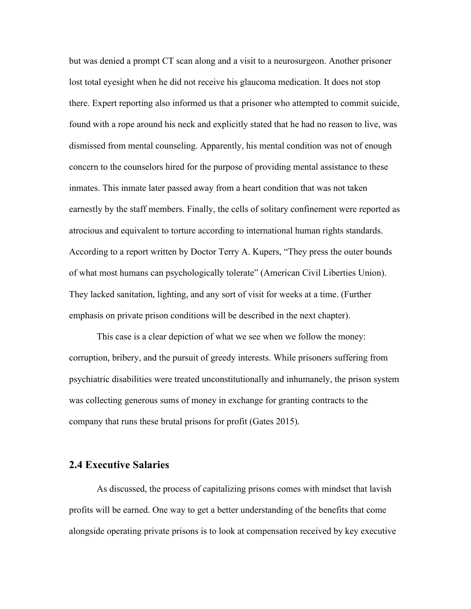but was denied a prompt CT scan along and a visit to a neurosurgeon. Another prisoner lost total eyesight when he did not receive his glaucoma medication. It does not stop there. Expert reporting also informed us that a prisoner who attempted to commit suicide, found with a rope around his neck and explicitly stated that he had no reason to live, was dismissed from mental counseling. Apparently, his mental condition was not of enough concern to the counselors hired for the purpose of providing mental assistance to these inmates. This inmate later passed away from a heart condition that was not taken earnestly by the staff members. Finally, the cells of solitary confinement were reported as atrocious and equivalent to torture according to international human rights standards. According to a report written by Doctor Terry A. Kupers, "They press the outer bounds of what most humans can psychologically tolerate" (American Civil Liberties Union). They lacked sanitation, lighting, and any sort of visit for weeks at a time. (Further emphasis on private prison conditions will be described in the next chapter).

This case is a clear depiction of what we see when we follow the money: corruption, bribery, and the pursuit of greedy interests. While prisoners suffering from psychiatric disabilities were treated unconstitutionally and inhumanely, the prison system was collecting generous sums of money in exchange for granting contracts to the company that runs these brutal prisons for profit (Gates 2015).

#### **2.4 Executive Salaries**

As discussed, the process of capitalizing prisons comes with mindset that lavish profits will be earned. One way to get a better understanding of the benefits that come alongside operating private prisons is to look at compensation received by key executive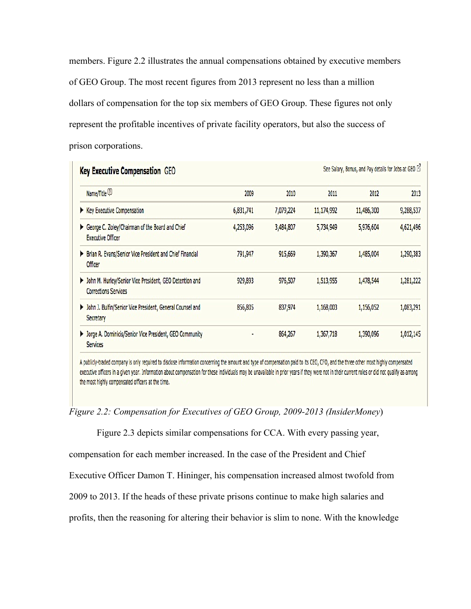members. Figure 2.2 illustrates the annual compensations obtained by executive members of GEO Group. The most recent figures from 2013 represent no less than a million dollars of compensation for the top six members of GEO Group. These figures not only represent the profitable incentives of private facility operators, but also the success of prison corporations.

| See Salary, Bonus, and Pay details for Jobs at GEO [3]<br><b>Key Executive Compensation GEO</b> |           |           |            |            |           |
|-------------------------------------------------------------------------------------------------|-----------|-----------|------------|------------|-----------|
| Name/Title <sup>2</sup>                                                                         | 2009      | 2010      | 2011       | 2012       | 2013      |
| Executive Compensation                                                                          | 6,831,741 | 7,079,224 | 11,174,992 | 11,486,300 | 9,288,537 |
| George C. Zoley/Chairman of the Board and Chief<br><b>Executive Officer</b>                     | 4,253,096 | 3,484,807 | 5,734,949  | 5,976,604  | 4,621,496 |
| > Brian R. Evans/Senior Vice President and Chief Financial<br><b>Officer</b>                    | 791,947   | 915,669   | 1,390,367  | 1,485,004  | 1,290,383 |
| > John M. Hurley/Senior Vice President, GEO Detention and<br><b>Corrections Services</b>        | 929,893   | 976,507   | 1,513,955  | 1,478,544  | 1,281,222 |
| > John J. Bulfin/Senior Vice President, General Counsel and<br>Secretary                        | 856,805   | 837,974   | 1,168,003  | 1,156,052  | 1,083,291 |
| > Jorge A. Dominicis/Senior Vice President, GEO Community<br><b>Services</b>                    |           | 864,267   | 1,367,718  | 1,390,096  | 1,012,145 |

A publicly-traded company is only required to disclose information concerning the amount and type of compensation paid to its CEO, CFO, and the three other most highly compensated executive officers in a given year. Information about compensation for these individuals may be unavailable in prior years if they were not in their current roles or did not qualify as among the most highly compensated officers at the time.

*Figure 2.2: Compensation for Executives of GEO Group, 2009-2013 (InsiderMoney*)

Figure 2.3 depicts similar compensations for CCA. With every passing year,

compensation for each member increased. In the case of the President and Chief

Executive Officer Damon T. Hininger, his compensation increased almost twofold from

2009 to 2013. If the heads of these private prisons continue to make high salaries and

profits, then the reasoning for altering their behavior is slim to none. With the knowledge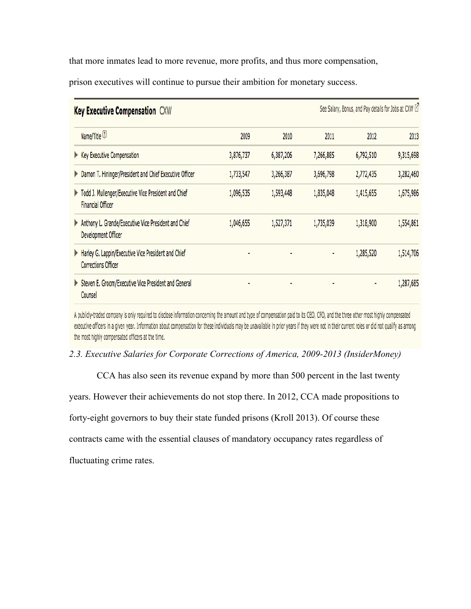that more inmates lead to more revenue, more profits, and thus more compensation,

prison executives will continue to pursue their ambition for monetary success.

| See Salary, Bonus, and Pay details for Jobs at CXW [2]<br><b>Key Executive Compensation CXW</b> |           |           |           |           |           |
|-------------------------------------------------------------------------------------------------|-----------|-----------|-----------|-----------|-----------|
| Name/Title <sup>2</sup>                                                                         | 2009      | 2010      | 2011      | 2012      | 2013      |
| ▶ Key Executive Compensation                                                                    | 3,876,737 | 6,387,206 | 7,266,885 | 6,792,510 | 9,315,698 |
| Damon T. Hininger/President and Chief Executive Officer                                         | 1,733,547 | 3,266,387 | 3,696,798 | 2,772,435 | 3,282,460 |
| Todd J. Mullenger/Executive Vice President and Chief<br><b>Financial Officer</b>                | 1,096,535 | 1,593,448 | 1,835,048 | 1,415,655 | 1,675,986 |
| Anthony L. Grande/Executive Vice President and Chief<br><b>Development Officer</b>              | 1,046,655 | 1,527,371 | 1,735,039 | 1,318,900 | 1,554,861 |
| Harley G. Lappin/Executive Vice President and Chief<br><b>Corrections Officer</b>               |           |           | ٠         | 1,285,520 | 1,514,706 |
| Steven E. Groom/Executive Vice President and General<br>Counsel                                 |           | ٠         |           | ٠         | 1,287,685 |

A publicly-traded company is only required to disclose information concerning the amount and type of compensation paid to its CEO, CFO, and the three other most highly compensated executive officers in a given year. Information about compensation for these individuals may be unavallable in prior years if they were not in their current roles or did not qualify as among the most highly compensated officers at the time.

*2.3. Executive Salaries for Corporate Corrections of America, 2009-2013 (InsiderMoney)* 

CCA has also seen its revenue expand by more than 500 percent in the last twenty

years. However their achievements do not stop there. In 2012, CCA made propositions to

forty-eight governors to buy their state funded prisons (Kroll 2013). Of course these

contracts came with the essential clauses of mandatory occupancy rates regardless of

fluctuating crime rates.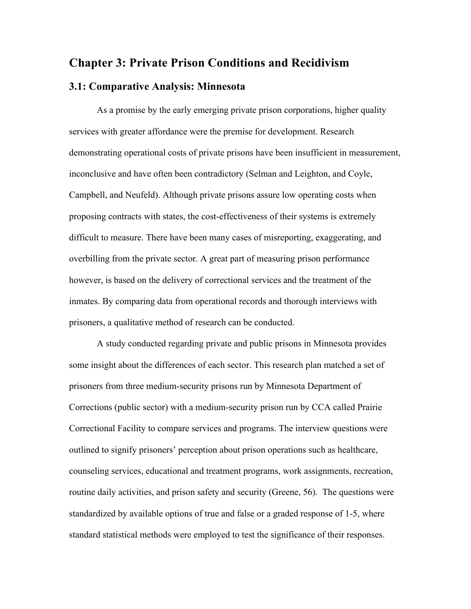## **Chapter 3: Private Prison Conditions and Recidivism**

## **3.1: Comparative Analysis: Minnesota**

As a promise by the early emerging private prison corporations, higher quality services with greater affordance were the premise for development. Research demonstrating operational costs of private prisons have been insufficient in measurement, inconclusive and have often been contradictory (Selman and Leighton, and Coyle, Campbell, and Neufeld). Although private prisons assure low operating costs when proposing contracts with states, the cost-effectiveness of their systems is extremely difficult to measure. There have been many cases of misreporting, exaggerating, and overbilling from the private sector. A great part of measuring prison performance however, is based on the delivery of correctional services and the treatment of the inmates. By comparing data from operational records and thorough interviews with prisoners, a qualitative method of research can be conducted.

A study conducted regarding private and public prisons in Minnesota provides some insight about the differences of each sector. This research plan matched a set of prisoners from three medium-security prisons run by Minnesota Department of Corrections (public sector) with a medium-security prison run by CCA called Prairie Correctional Facility to compare services and programs. The interview questions were outlined to signify prisoners' perception about prison operations such as healthcare, counseling services, educational and treatment programs, work assignments, recreation, routine daily activities, and prison safety and security (Greene, 56). The questions were standardized by available options of true and false or a graded response of 1-5, where standard statistical methods were employed to test the significance of their responses.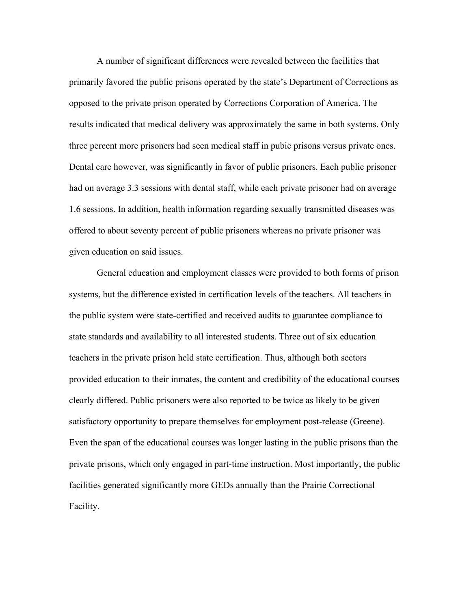A number of significant differences were revealed between the facilities that primarily favored the public prisons operated by the state's Department of Corrections as opposed to the private prison operated by Corrections Corporation of America. The results indicated that medical delivery was approximately the same in both systems. Only three percent more prisoners had seen medical staff in pubic prisons versus private ones. Dental care however, was significantly in favor of public prisoners. Each public prisoner had on average 3.3 sessions with dental staff, while each private prisoner had on average 1.6 sessions. In addition, health information regarding sexually transmitted diseases was offered to about seventy percent of public prisoners whereas no private prisoner was given education on said issues.

General education and employment classes were provided to both forms of prison systems, but the difference existed in certification levels of the teachers. All teachers in the public system were state-certified and received audits to guarantee compliance to state standards and availability to all interested students. Three out of six education teachers in the private prison held state certification. Thus, although both sectors provided education to their inmates, the content and credibility of the educational courses clearly differed. Public prisoners were also reported to be twice as likely to be given satisfactory opportunity to prepare themselves for employment post-release (Greene). Even the span of the educational courses was longer lasting in the public prisons than the private prisons, which only engaged in part-time instruction. Most importantly, the public facilities generated significantly more GEDs annually than the Prairie Correctional Facility.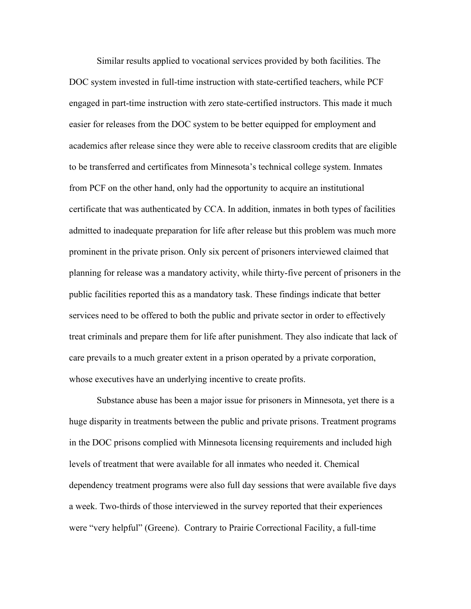Similar results applied to vocational services provided by both facilities. The DOC system invested in full-time instruction with state-certified teachers, while PCF engaged in part-time instruction with zero state-certified instructors. This made it much easier for releases from the DOC system to be better equipped for employment and academics after release since they were able to receive classroom credits that are eligible to be transferred and certificates from Minnesota's technical college system. Inmates from PCF on the other hand, only had the opportunity to acquire an institutional certificate that was authenticated by CCA. In addition, inmates in both types of facilities admitted to inadequate preparation for life after release but this problem was much more prominent in the private prison. Only six percent of prisoners interviewed claimed that planning for release was a mandatory activity, while thirty-five percent of prisoners in the public facilities reported this as a mandatory task. These findings indicate that better services need to be offered to both the public and private sector in order to effectively treat criminals and prepare them for life after punishment. They also indicate that lack of care prevails to a much greater extent in a prison operated by a private corporation, whose executives have an underlying incentive to create profits.

Substance abuse has been a major issue for prisoners in Minnesota, yet there is a huge disparity in treatments between the public and private prisons. Treatment programs in the DOC prisons complied with Minnesota licensing requirements and included high levels of treatment that were available for all inmates who needed it. Chemical dependency treatment programs were also full day sessions that were available five days a week. Two-thirds of those interviewed in the survey reported that their experiences were "very helpful" (Greene). Contrary to Prairie Correctional Facility, a full-time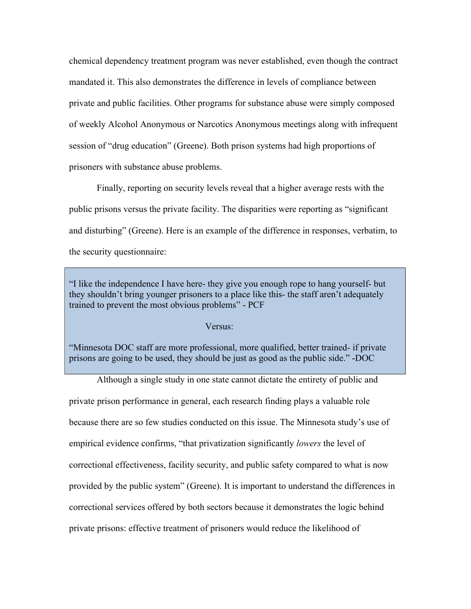chemical dependency treatment program was never established, even though the contract mandated it. This also demonstrates the difference in levels of compliance between private and public facilities. Other programs for substance abuse were simply composed of weekly Alcohol Anonymous or Narcotics Anonymous meetings along with infrequent session of "drug education" (Greene). Both prison systems had high proportions of prisoners with substance abuse problems.

Finally, reporting on security levels reveal that a higher average rests with the public prisons versus the private facility. The disparities were reporting as "significant and disturbing" (Greene). Here is an example of the difference in responses, verbatim, to the security questionnaire:

"I like the independence I have here- they give you enough rope to hang yourself- but they shouldn't bring younger prisoners to a place like this- the staff aren't adequately trained to prevent the most obvious problems" - PCF

Versus:

"Minnesota DOC staff are more professional, more qualified, better trained- if private prisons are going to be used, they should be just as good as the public side." -DOC

Although a single study in one state cannot dictate the entirety of public and private prison performance in general, each research finding plays a valuable role because there are so few studies conducted on this issue. The Minnesota study's use of empirical evidence confirms, "that privatization significantly *lowers* the level of correctional effectiveness, facility security, and public safety compared to what is now provided by the public system" (Greene). It is important to understand the differences in correctional services offered by both sectors because it demonstrates the logic behind private prisons: effective treatment of prisoners would reduce the likelihood of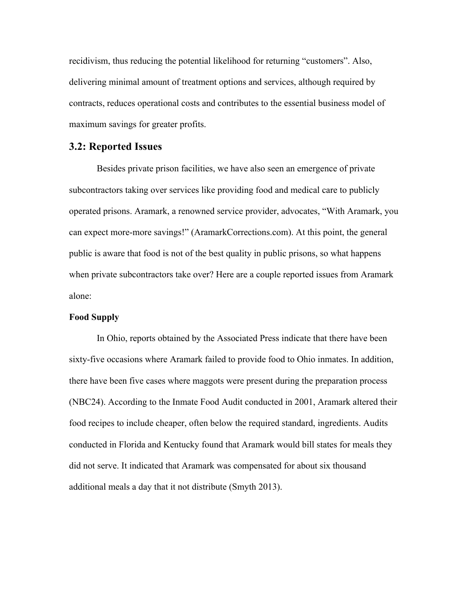recidivism, thus reducing the potential likelihood for returning "customers". Also, delivering minimal amount of treatment options and services, although required by contracts, reduces operational costs and contributes to the essential business model of maximum savings for greater profits.

#### **3.2: Reported Issues**

Besides private prison facilities, we have also seen an emergence of private subcontractors taking over services like providing food and medical care to publicly operated prisons. Aramark, a renowned service provider, advocates, "With Aramark, you can expect more-more savings!" (AramarkCorrections.com). At this point, the general public is aware that food is not of the best quality in public prisons, so what happens when private subcontractors take over? Here are a couple reported issues from Aramark alone:

#### **Food Supply**

In Ohio, reports obtained by the Associated Press indicate that there have been sixty-five occasions where Aramark failed to provide food to Ohio inmates. In addition, there have been five cases where maggots were present during the preparation process (NBC24). According to the Inmate Food Audit conducted in 2001, Aramark altered their food recipes to include cheaper, often below the required standard, ingredients. Audits conducted in Florida and Kentucky found that Aramark would bill states for meals they did not serve. It indicated that Aramark was compensated for about six thousand additional meals a day that it not distribute (Smyth 2013).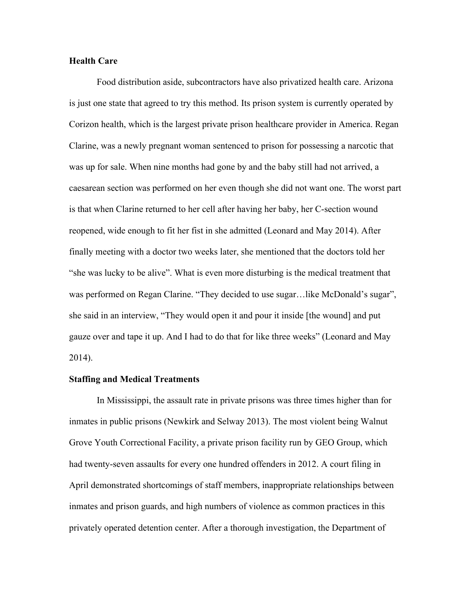#### **Health Care**

Food distribution aside, subcontractors have also privatized health care. Arizona is just one state that agreed to try this method. Its prison system is currently operated by Corizon health, which is the largest private prison healthcare provider in America. Regan Clarine, was a newly pregnant woman sentenced to prison for possessing a narcotic that was up for sale. When nine months had gone by and the baby still had not arrived, a caesarean section was performed on her even though she did not want one. The worst part is that when Clarine returned to her cell after having her baby, her C-section wound reopened, wide enough to fit her fist in she admitted (Leonard and May 2014). After finally meeting with a doctor two weeks later, she mentioned that the doctors told her "she was lucky to be alive". What is even more disturbing is the medical treatment that was performed on Regan Clarine. "They decided to use sugar...like McDonald's sugar", she said in an interview, "They would open it and pour it inside [the wound] and put gauze over and tape it up. And I had to do that for like three weeks" (Leonard and May 2014).

#### **Staffing and Medical Treatments**

In Mississippi, the assault rate in private prisons was three times higher than for inmates in public prisons (Newkirk and Selway 2013). The most violent being Walnut Grove Youth Correctional Facility, a private prison facility run by GEO Group, which had twenty-seven assaults for every one hundred offenders in 2012. A court filing in April demonstrated shortcomings of staff members, inappropriate relationships between inmates and prison guards, and high numbers of violence as common practices in this privately operated detention center. After a thorough investigation, the Department of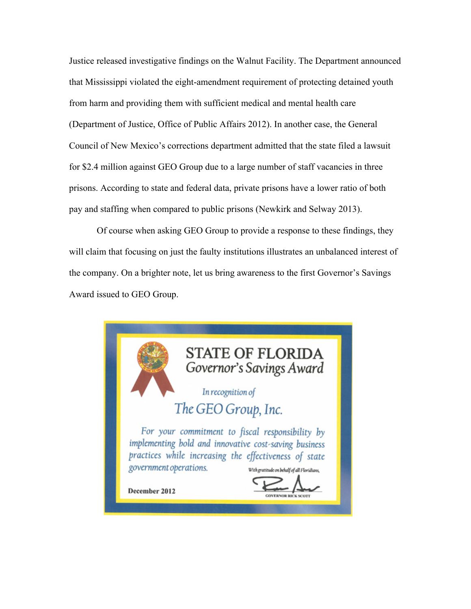Justice released investigative findings on the Walnut Facility. The Department announced that Mississippi violated the eight-amendment requirement of protecting detained youth from harm and providing them with sufficient medical and mental health care (Department of Justice, Office of Public Affairs 2012). In another case, the General Council of New Mexico's corrections department admitted that the state filed a lawsuit for \$2.4 million against GEO Group due to a large number of staff vacancies in three prisons. According to state and federal data, private prisons have a lower ratio of both pay and staffing when compared to public prisons (Newkirk and Selway 2013).

Of course when asking GEO Group to provide a response to these findings, they will claim that focusing on just the faulty institutions illustrates an unbalanced interest of the company. On a brighter note, let us bring awareness to the first Governor's Savings Award issued to GEO Group.

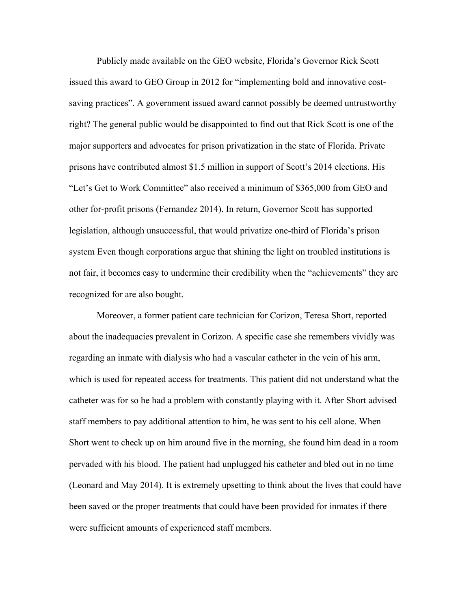Publicly made available on the GEO website, Florida's Governor Rick Scott issued this award to GEO Group in 2012 for "implementing bold and innovative costsaving practices". A government issued award cannot possibly be deemed untrustworthy right? The general public would be disappointed to find out that Rick Scott is one of the major supporters and advocates for prison privatization in the state of Florida. Private prisons have contributed almost \$1.5 million in support of Scott's 2014 elections. His "Let's Get to Work Committee" also received a minimum of \$365,000 from GEO and other for-profit prisons (Fernandez 2014). In return, Governor Scott has supported legislation, although unsuccessful, that would privatize one-third of Florida's prison system Even though corporations argue that shining the light on troubled institutions is not fair, it becomes easy to undermine their credibility when the "achievements" they are recognized for are also bought.

Moreover, a former patient care technician for Corizon, Teresa Short, reported about the inadequacies prevalent in Corizon. A specific case she remembers vividly was regarding an inmate with dialysis who had a vascular catheter in the vein of his arm, which is used for repeated access for treatments. This patient did not understand what the catheter was for so he had a problem with constantly playing with it. After Short advised staff members to pay additional attention to him, he was sent to his cell alone. When Short went to check up on him around five in the morning, she found him dead in a room pervaded with his blood. The patient had unplugged his catheter and bled out in no time (Leonard and May 2014). It is extremely upsetting to think about the lives that could have been saved or the proper treatments that could have been provided for inmates if there were sufficient amounts of experienced staff members.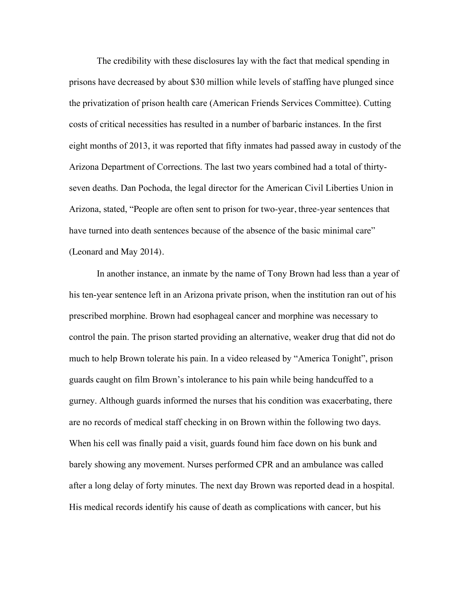The credibility with these disclosures lay with the fact that medical spending in prisons have decreased by about \$30 million while levels of staffing have plunged since the privatization of prison health care (American Friends Services Committee). Cutting costs of critical necessities has resulted in a number of barbaric instances. In the first eight months of 2013, it was reported that fifty inmates had passed away in custody of the Arizona Department of Corrections. The last two years combined had a total of thirtyseven deaths. Dan Pochoda, the legal director for the American Civil Liberties Union in Arizona, stated, "People are often sent to prison for two-year, three-year sentences that have turned into death sentences because of the absence of the basic minimal care" (Leonard and May 2014).

In another instance, an inmate by the name of Tony Brown had less than a year of his ten-year sentence left in an Arizona private prison, when the institution ran out of his prescribed morphine. Brown had esophageal cancer and morphine was necessary to control the pain. The prison started providing an alternative, weaker drug that did not do much to help Brown tolerate his pain. In a video released by "America Tonight", prison guards caught on film Brown's intolerance to his pain while being handcuffed to a gurney. Although guards informed the nurses that his condition was exacerbating, there are no records of medical staff checking in on Brown within the following two days. When his cell was finally paid a visit, guards found him face down on his bunk and barely showing any movement. Nurses performed CPR and an ambulance was called after a long delay of forty minutes. The next day Brown was reported dead in a hospital. His medical records identify his cause of death as complications with cancer, but his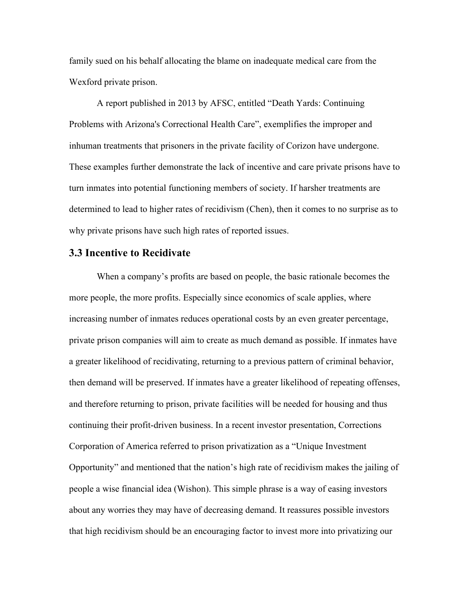family sued on his behalf allocating the blame on inadequate medical care from the Wexford private prison.

A report published in 2013 by AFSC, entitled "Death Yards: Continuing Problems with Arizona's Correctional Health Care", exemplifies the improper and inhuman treatments that prisoners in the private facility of Corizon have undergone. These examples further demonstrate the lack of incentive and care private prisons have to turn inmates into potential functioning members of society. If harsher treatments are determined to lead to higher rates of recidivism (Chen), then it comes to no surprise as to why private prisons have such high rates of reported issues.

#### **3.3 Incentive to Recidivate**

When a company's profits are based on people, the basic rationale becomes the more people, the more profits. Especially since economics of scale applies, where increasing number of inmates reduces operational costs by an even greater percentage, private prison companies will aim to create as much demand as possible. If inmates have a greater likelihood of recidivating, returning to a previous pattern of criminal behavior, then demand will be preserved. If inmates have a greater likelihood of repeating offenses, and therefore returning to prison, private facilities will be needed for housing and thus continuing their profit-driven business. In a recent investor presentation, Corrections Corporation of America referred to prison privatization as a "Unique Investment Opportunity" and mentioned that the nation's high rate of recidivism makes the jailing of people a wise financial idea (Wishon). This simple phrase is a way of easing investors about any worries they may have of decreasing demand. It reassures possible investors that high recidivism should be an encouraging factor to invest more into privatizing our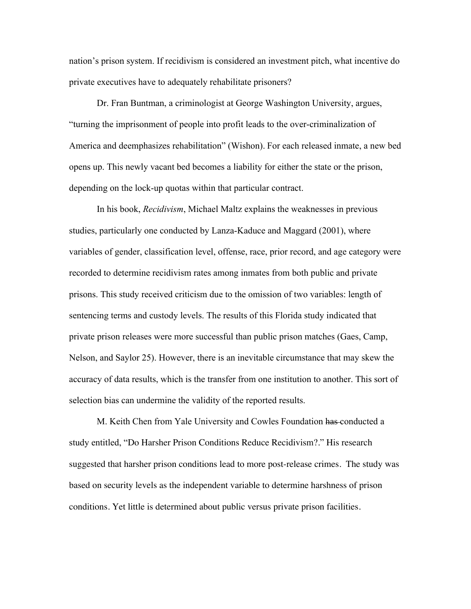nation's prison system. If recidivism is considered an investment pitch, what incentive do private executives have to adequately rehabilitate prisoners?

Dr. Fran Buntman, a criminologist at George Washington University, argues, "turning the imprisonment of people into profit leads to the over-criminalization of America and deemphasizes rehabilitation" (Wishon). For each released inmate, a new bed opens up. This newly vacant bed becomes a liability for either the state or the prison, depending on the lock-up quotas within that particular contract.

In his book, *Recidivism*, Michael Maltz explains the weaknesses in previous studies, particularly one conducted by Lanza-Kaduce and Maggard (2001), where variables of gender, classification level, offense, race, prior record, and age category were recorded to determine recidivism rates among inmates from both public and private prisons. This study received criticism due to the omission of two variables: length of sentencing terms and custody levels. The results of this Florida study indicated that private prison releases were more successful than public prison matches (Gaes, Camp, Nelson, and Saylor 25). However, there is an inevitable circumstance that may skew the accuracy of data results, which is the transfer from one institution to another. This sort of selection bias can undermine the validity of the reported results.

M. Keith Chen from Yale University and Cowles Foundation has conducted a study entitled, "Do Harsher Prison Conditions Reduce Recidivism?." His research suggested that harsher prison conditions lead to more post-release crimes. The study was based on security levels as the independent variable to determine harshness of prison conditions. Yet little is determined about public versus private prison facilities.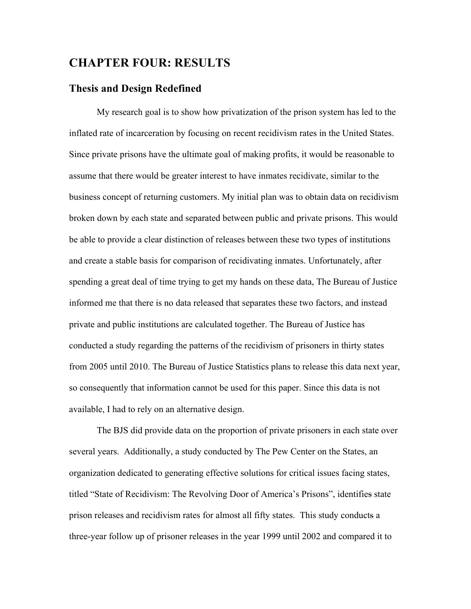## **CHAPTER FOUR: RESULTS**

#### **Thesis and Design Redefined**

My research goal is to show how privatization of the prison system has led to the inflated rate of incarceration by focusing on recent recidivism rates in the United States. Since private prisons have the ultimate goal of making profits, it would be reasonable to assume that there would be greater interest to have inmates recidivate, similar to the business concept of returning customers. My initial plan was to obtain data on recidivism broken down by each state and separated between public and private prisons. This would be able to provide a clear distinction of releases between these two types of institutions and create a stable basis for comparison of recidivating inmates. Unfortunately, after spending a great deal of time trying to get my hands on these data, The Bureau of Justice informed me that there is no data released that separates these two factors, and instead private and public institutions are calculated together. The Bureau of Justice has conducted a study regarding the patterns of the recidivism of prisoners in thirty states from 2005 until 2010. The Bureau of Justice Statistics plans to release this data next year, so consequently that information cannot be used for this paper. Since this data is not available, I had to rely on an alternative design.

The BJS did provide data on the proportion of private prisoners in each state over several years. Additionally, a study conducted by The Pew Center on the States, an organization dedicated to generating effective solutions for critical issues facing states, titled "State of Recidivism: The Revolving Door of America's Prisons", identifies state prison releases and recidivism rates for almost all fifty states. This study conducts a three-year follow up of prisoner releases in the year 1999 until 2002 and compared it to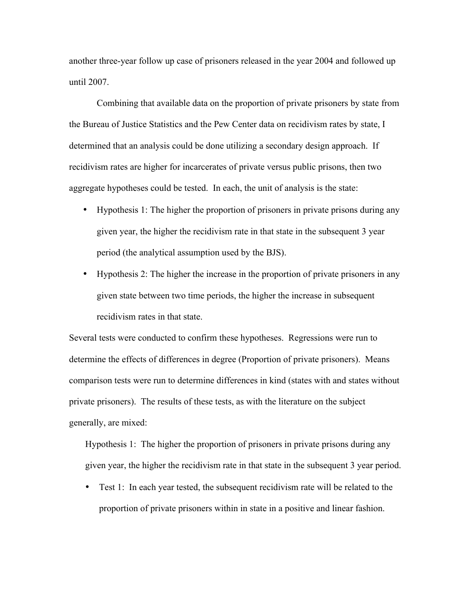another three-year follow up case of prisoners released in the year 2004 and followed up until 2007.

Combining that available data on the proportion of private prisoners by state from the Bureau of Justice Statistics and the Pew Center data on recidivism rates by state, I determined that an analysis could be done utilizing a secondary design approach. If recidivism rates are higher for incarcerates of private versus public prisons, then two aggregate hypotheses could be tested. In each, the unit of analysis is the state:

- Hypothesis 1: The higher the proportion of prisoners in private prisons during any given year, the higher the recidivism rate in that state in the subsequent 3 year period (the analytical assumption used by the BJS).
- Hypothesis 2: The higher the increase in the proportion of private prisoners in any given state between two time periods, the higher the increase in subsequent recidivism rates in that state.

Several tests were conducted to confirm these hypotheses. Regressions were run to determine the effects of differences in degree (Proportion of private prisoners). Means comparison tests were run to determine differences in kind (states with and states without private prisoners). The results of these tests, as with the literature on the subject generally, are mixed:

Hypothesis 1: The higher the proportion of prisoners in private prisons during any given year, the higher the recidivism rate in that state in the subsequent 3 year period.

• Test 1: In each year tested, the subsequent recidivism rate will be related to the proportion of private prisoners within in state in a positive and linear fashion.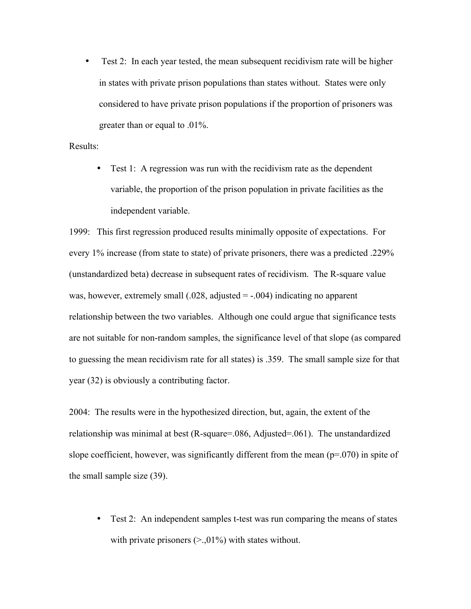• Test 2: In each year tested, the mean subsequent recidivism rate will be higher in states with private prison populations than states without. States were only considered to have private prison populations if the proportion of prisoners was greater than or equal to .01%.

#### Results:

• Test 1: A regression was run with the recidivism rate as the dependent variable, the proportion of the prison population in private facilities as the independent variable.

1999: This first regression produced results minimally opposite of expectations. For every 1% increase (from state to state) of private prisoners, there was a predicted .229% (unstandardized beta) decrease in subsequent rates of recidivism. The R-square value was, however, extremely small  $(.028,$  adjusted  $= -.004)$  indicating no apparent relationship between the two variables. Although one could argue that significance tests are not suitable for non-random samples, the significance level of that slope (as compared to guessing the mean recidivism rate for all states) is .359. The small sample size for that year (32) is obviously a contributing factor.

2004: The results were in the hypothesized direction, but, again, the extent of the relationship was minimal at best (R-square=.086, Adjusted=.061). The unstandardized slope coefficient, however, was significantly different from the mean  $(p=070)$  in spite of the small sample size (39).

• Test 2: An independent samples t-test was run comparing the means of states with private prisoners  $(>,01\%)$  with states without.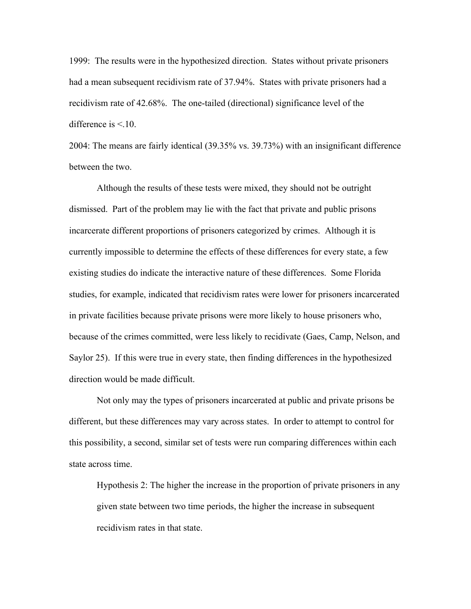1999: The results were in the hypothesized direction. States without private prisoners had a mean subsequent recidivism rate of 37.94%. States with private prisoners had a recidivism rate of 42.68%. The one-tailed (directional) significance level of the difference is  $\leq$  10.

2004: The means are fairly identical (39.35% vs. 39.73%) with an insignificant difference between the two.

Although the results of these tests were mixed, they should not be outright dismissed. Part of the problem may lie with the fact that private and public prisons incarcerate different proportions of prisoners categorized by crimes. Although it is currently impossible to determine the effects of these differences for every state, a few existing studies do indicate the interactive nature of these differences. Some Florida studies, for example, indicated that recidivism rates were lower for prisoners incarcerated in private facilities because private prisons were more likely to house prisoners who, because of the crimes committed, were less likely to recidivate (Gaes, Camp, Nelson, and Saylor 25). If this were true in every state, then finding differences in the hypothesized direction would be made difficult.

Not only may the types of prisoners incarcerated at public and private prisons be different, but these differences may vary across states. In order to attempt to control for this possibility, a second, similar set of tests were run comparing differences within each state across time.

Hypothesis 2: The higher the increase in the proportion of private prisoners in any given state between two time periods, the higher the increase in subsequent recidivism rates in that state.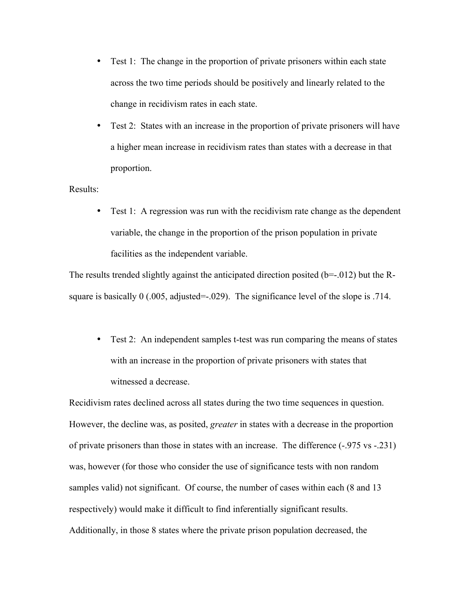- Test 1: The change in the proportion of private prisoners within each state across the two time periods should be positively and linearly related to the change in recidivism rates in each state.
- Test 2: States with an increase in the proportion of private prisoners will have a higher mean increase in recidivism rates than states with a decrease in that proportion.

#### Results:

• Test 1: A regression was run with the recidivism rate change as the dependent variable, the change in the proportion of the prison population in private facilities as the independent variable.

The results trended slightly against the anticipated direction posited (b=-.012) but the Rsquare is basically 0 (.005, adjusted=-.029). The significance level of the slope is .714.

• Test 2: An independent samples t-test was run comparing the means of states with an increase in the proportion of private prisoners with states that witnessed a decrease.

Recidivism rates declined across all states during the two time sequences in question. However, the decline was, as posited, *greater* in states with a decrease in the proportion of private prisoners than those in states with an increase. The difference (-.975 vs -.231) was, however (for those who consider the use of significance tests with non random samples valid) not significant. Of course, the number of cases within each (8 and 13 respectively) would make it difficult to find inferentially significant results. Additionally, in those 8 states where the private prison population decreased, the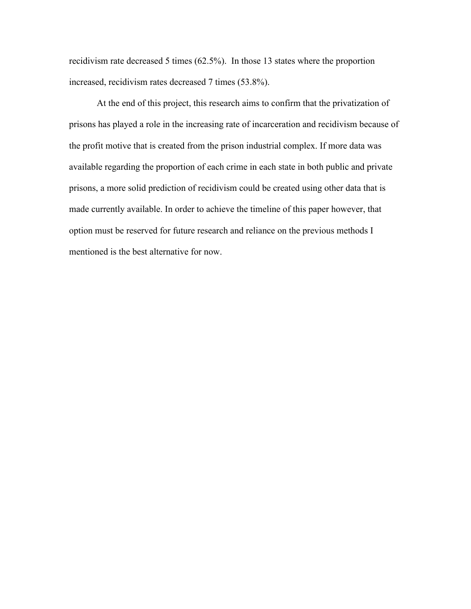recidivism rate decreased 5 times (62.5%). In those 13 states where the proportion increased, recidivism rates decreased 7 times (53.8%).

At the end of this project, this research aims to confirm that the privatization of prisons has played a role in the increasing rate of incarceration and recidivism because of the profit motive that is created from the prison industrial complex. If more data was available regarding the proportion of each crime in each state in both public and private prisons, a more solid prediction of recidivism could be created using other data that is made currently available. In order to achieve the timeline of this paper however, that option must be reserved for future research and reliance on the previous methods I mentioned is the best alternative for now.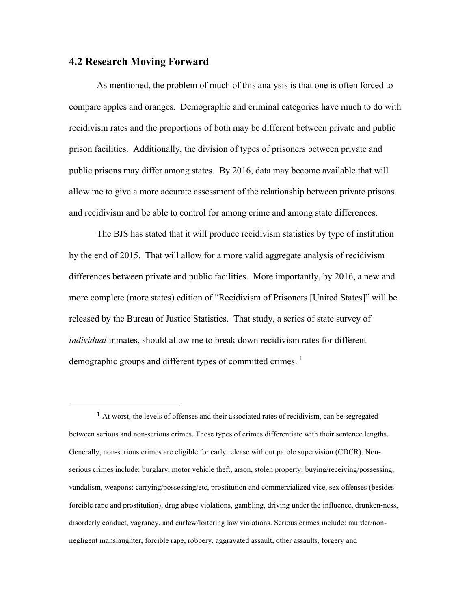#### **4.2 Research Moving Forward**

 

As mentioned, the problem of much of this analysis is that one is often forced to compare apples and oranges. Demographic and criminal categories have much to do with recidivism rates and the proportions of both may be different between private and public prison facilities. Additionally, the division of types of prisoners between private and public prisons may differ among states. By 2016, data may become available that will allow me to give a more accurate assessment of the relationship between private prisons and recidivism and be able to control for among crime and among state differences.

The BJS has stated that it will produce recidivism statistics by type of institution by the end of 2015. That will allow for a more valid aggregate analysis of recidivism differences between private and public facilities. More importantly, by 2016, a new and more complete (more states) edition of "Recidivism of Prisoners [United States]" will be released by the Bureau of Justice Statistics. That study, a series of state survey of *individual* inmates, should allow me to break down recidivism rates for different demographic groups and different types of committed crimes.  $\frac{1}{1}$ 

<sup>1</sup> At worst, the levels of offenses and their associated rates of recidivism, can be segregated between serious and non-serious crimes. These types of crimes differentiate with their sentence lengths. Generally, non-serious crimes are eligible for early release without parole supervision (CDCR). Nonserious crimes include: burglary, motor vehicle theft, arson, stolen property: buying/receiving/possessing, vandalism, weapons: carrying/possessing/etc, prostitution and commercialized vice, sex offenses (besides forcible rape and prostitution), drug abuse violations, gambling, driving under the influence, drunken-ness, disorderly conduct, vagrancy, and curfew/loitering law violations. Serious crimes include: murder/nonnegligent manslaughter, forcible rape, robbery, aggravated assault, other assaults, forgery and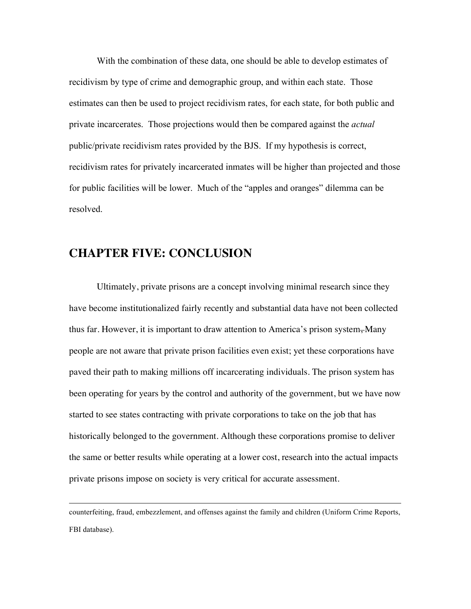With the combination of these data, one should be able to develop estimates of recidivism by type of crime and demographic group, and within each state. Those estimates can then be used to project recidivism rates, for each state, for both public and private incarcerates. Those projections would then be compared against the *actual* public/private recidivism rates provided by the BJS. If my hypothesis is correct, recidivism rates for privately incarcerated inmates will be higher than projected and those for public facilities will be lower. Much of the "apples and oranges" dilemma can be resolved.

## **CHAPTER FIVE: CONCLUSION**

Ultimately, private prisons are a concept involving minimal research since they have become institutionalized fairly recently and substantial data have not been collected thus far. However, it is important to draw attention to America's prison system–Many people are not aware that private prison facilities even exist; yet these corporations have paved their path to making millions off incarcerating individuals. The prison system has been operating for years by the control and authority of the government, but we have now started to see states contracting with private corporations to take on the job that has historically belonged to the government. Although these corporations promise to deliver the same or better results while operating at a lower cost, research into the actual impacts private prisons impose on society is very critical for accurate assessment.

counterfeiting, fraud, embezzlement, and offenses against the family and children (Uniform Crime Reports, FBI database).

<u> 2002 - Andrea San Andrea San Andrea San Andrea San Andrea San Andrea San Andrea San Andrea San Andrea San An</u>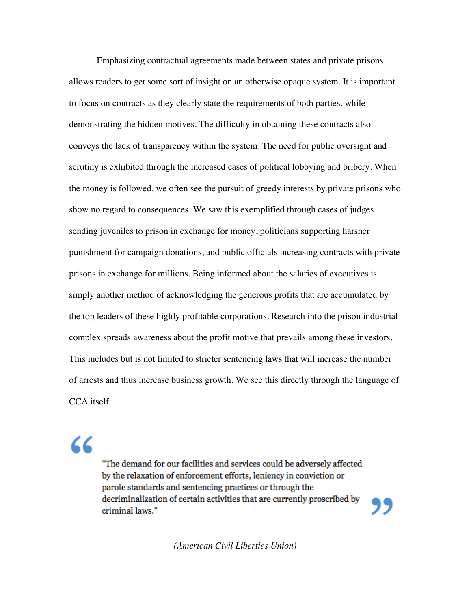Emphasizing contractual agreements made between states and private prisons allows readers to get some sort of insight on an otherwise opaque system. It is important to focus on contracts as they clearly state the requirements of both parties, while demonstrating the hidden motives. The difficulty in obtaining these contracts also conveys the lack of transparency within the system. The need for public oversight and scrutiny is exhibited through the increased cases of political lobbying and bribery. When the money is followed, we often see the pursuit of greedy interests by private prisons who show no regard to consequences. We saw this exemplified through cases of judges sending juveniles to prison in exchange for money, politicians supporting harsher punishment for campaign donations, and public officials increasing contracts with private prisons in exchange for millions. Being informed about the salaries of executives is simply another method of acknowledging the generous profits that are accumulated by the top leaders of these highly profitable corporations. Research into the prison industrial complex spreads awareness about the profit motive that prevails among these investors. This includes but is not limited to stricter sentencing laws that will increase the number of arrests and thus increase business growth. We see this directly through the language of CCA itself:

# 72

"The demand for our facilities and services could be adversely affected by the relaxation of enforcement efforts, leniency in conviction or parole standards and sentencing practices or through the decriminalization of certain activities that are currently proscribed by criminal laws."

*(American Civil Liberties Union)*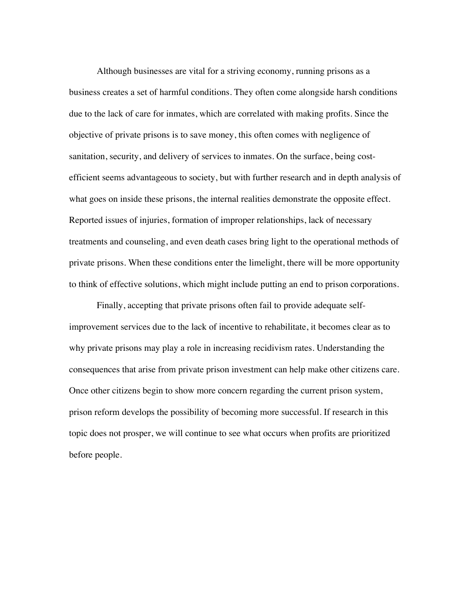Although businesses are vital for a striving economy, running prisons as a business creates a set of harmful conditions. They often come alongside harsh conditions due to the lack of care for inmates, which are correlated with making profits. Since the objective of private prisons is to save money, this often comes with negligence of sanitation, security, and delivery of services to inmates. On the surface, being costefficient seems advantageous to society, but with further research and in depth analysis of what goes on inside these prisons, the internal realities demonstrate the opposite effect. Reported issues of injuries, formation of improper relationships, lack of necessary treatments and counseling, and even death cases bring light to the operational methods of private prisons. When these conditions enter the limelight, there will be more opportunity to think of effective solutions, which might include putting an end to prison corporations.

Finally, accepting that private prisons often fail to provide adequate selfimprovement services due to the lack of incentive to rehabilitate, it becomes clear as to why private prisons may play a role in increasing recidivism rates. Understanding the consequences that arise from private prison investment can help make other citizens care. Once other citizens begin to show more concern regarding the current prison system, prison reform develops the possibility of becoming more successful. If research in this topic does not prosper, we will continue to see what occurs when profits are prioritized before people.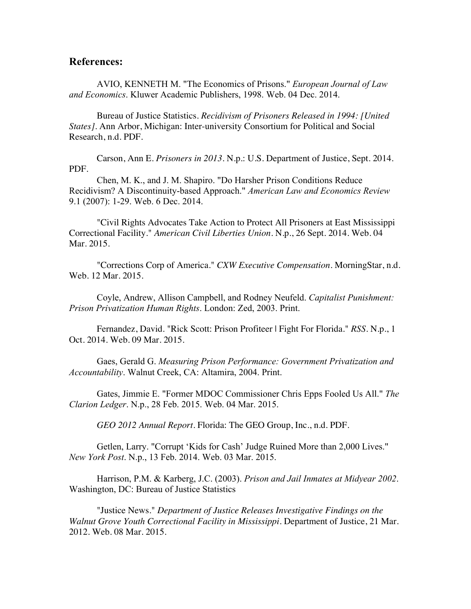#### **References:**

AVIO, KENNETH M. "The Economics of Prisons." *European Journal of Law and Economics*. Kluwer Academic Publishers, 1998. Web. 04 Dec. 2014.

Bureau of Justice Statistics. *Recidivism of Prisoners Released in 1994: [United States]*. Ann Arbor, Michigan: Inter-university Consortium for Political and Social Research, n.d. PDF.

Carson, Ann E. *Prisoners in 2013*. N.p.: U.S. Department of Justice, Sept. 2014. PDF.

Chen, M. K., and J. M. Shapiro. "Do Harsher Prison Conditions Reduce Recidivism? A Discontinuity-based Approach." *American Law and Economics Review* 9.1 (2007): 1-29. Web. 6 Dec. 2014.

"Civil Rights Advocates Take Action to Protect All Prisoners at East Mississippi Correctional Facility." *American Civil Liberties Union*. N.p., 26 Sept. 2014. Web. 04 Mar. 2015.

"Corrections Corp of America." *CXW Executive Compensation*. MorningStar, n.d. Web. 12 Mar. 2015.

Coyle, Andrew, Allison Campbell, and Rodney Neufeld. *Capitalist Punishment: Prison Privatization Human Rights*. London: Zed, 2003. Print.

Fernandez, David. "Rick Scott: Prison Profiteer | Fight For Florida." *RSS*. N.p., 1 Oct. 2014. Web. 09 Mar. 2015.

Gaes, Gerald G. *Measuring Prison Performance: Government Privatization and Accountability*. Walnut Creek, CA: Altamira, 2004. Print.

Gates, Jimmie E. "Former MDOC Commissioner Chris Epps Fooled Us All." *The Clarion Ledger*. N.p., 28 Feb. 2015. Web. 04 Mar. 2015.

*GEO 2012 Annual Report*. Florida: The GEO Group, Inc., n.d. PDF.

Getlen, Larry. "Corrupt 'Kids for Cash' Judge Ruined More than 2,000 Lives." *New York Post*. N.p., 13 Feb. 2014. Web. 03 Mar. 2015.

Harrison, P.M. & Karberg, J.C. (2003). *Prison and Jail Inmates at Midyear 2002*. Washington, DC: Bureau of Justice Statistics

"Justice News." *Department of Justice Releases Investigative Findings on the Walnut Grove Youth Correctional Facility in Mississippi*. Department of Justice, 21 Mar. 2012. Web. 08 Mar. 2015.